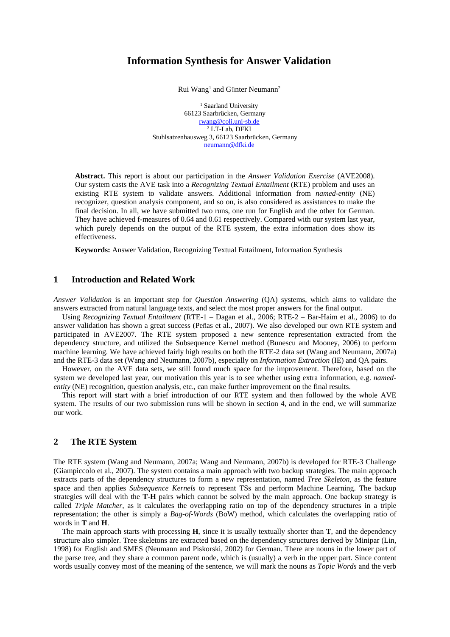# **Information Synthesis for Answer Validation**

Rui Wang<sup>1</sup> and Günter Neumann<sup>2</sup>

<sup>1</sup> Saarland University 66123 Saarbrücken, Germany rwang@coli.uni-sb.de 2 LT-Lab, DFKI Stuhlsatzenhausweg 3, 66123 Saarbrücken, Germany neumann@dfki.de

**Abstract.** This report is about our participation in the *Answer Validation Exercise* (AVE2008). Our system casts the AVE task into a *Recognizing Textual Entailment* (RTE) problem and uses an existing RTE system to validate answers. Additional information from *named-entity* (NE) recognizer, question analysis component, and so on, is also considered as assistances to make the final decision. In all, we have submitted two runs, one run for English and the other for German. They have achieved f-measures of 0.64 and 0.61 respectively. Compared with our system last year, which purely depends on the output of the RTE system, the extra information does show its effectiveness.

**Keywords:** Answer Validation, Recognizing Textual Entailment, Information Synthesis

# **1 Introduction and Related Work**

*Answer Validation* is an important step for *Question Answering* (QA) systems, which aims to validate the answers extracted from natural language texts, and select the most proper answers for the final output.

Using *Recognizing Textual Entailment* (RTE-1 – Dagan et al., 2006; RTE-2 – Bar-Haim et al., 2006) to do answer validation has shown a great success (Peñas et al., 2007). We also developed our own RTE system and participated in AVE2007. The RTE system proposed a new sentence representation extracted from the dependency structure, and utilized the Subsequence Kernel method (Bunescu and Mooney, 2006) to perform machine learning. We have achieved fairly high results on both the RTE-2 data set (Wang and Neumann, 2007a) and the RTE-3 data set (Wang and Neumann, 2007b), especially on *Information Extraction* (IE) and QA pairs.

However, on the AVE data sets, we still found much space for the improvement. Therefore, based on the system we developed last year, our motivation this year is to see whether using extra information, e.g. *namedentity* (NE) recognition, question analysis, etc., can make further improvement on the final results.

This report will start with a brief introduction of our RTE system and then followed by the whole AVE system. The results of our two submission runs will be shown in section 4, and in the end, we will summarize our work.

## **2 The RTE System**

The RTE system (Wang and Neumann, 2007a; Wang and Neumann, 2007b) is developed for RTE-3 Challenge (Giampiccolo et al., 2007). The system contains a main approach with two backup strategies. The main approach extracts parts of the dependency structures to form a new representation, named *Tree Skeleton*, as the feature space and then applies *Subsequence Kernels* to represent TSs and perform Machine Learning. The backup strategies will deal with the **T**-**H** pairs which cannot be solved by the main approach. One backup strategy is called *Triple Matcher*, as it calculates the overlapping ratio on top of the dependency structures in a triple representation; the other is simply a *Bag-of-Words* (BoW) method, which calculates the overlapping ratio of words in **T** and **H**.

The main approach starts with processing **H**, since it is usually textually shorter than **T**, and the dependency structure also simpler. Tree skeletons are extracted based on the dependency structures derived by Minipar (Lin, 1998) for English and SMES (Neumann and Piskorski, 2002) for German. There are nouns in the lower part of the parse tree, and they share a common parent node, which is (usually) a verb in the upper part. Since content words usually convey most of the meaning of the sentence, we will mark the nouns as *Topic Words* and the verb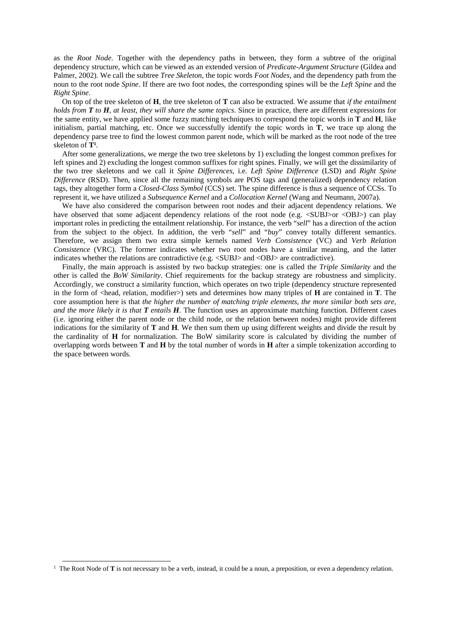as the *Root Node*. Together with the dependency paths in between, they form a subtree of the original dependency structure, which can be viewed as an extended version of *Predicate-Argument Structure* (Gildea and Palmer, 2002). We call the subtree *Tree Skeleton*, the topic words *Foot Nodes*, and the dependency path from the noun to the root node *Spine*. If there are two foot nodes, the corresponding spines will be the *Left Spine* and the *Right Spine*.

On top of the tree skeleton of **H**, the tree skeleton of **T** can also be extracted. We assume that *if the entailment holds from T to H, at least, they will share the same topics*. Since in practice, there are different expressions for the same entity, we have applied some fuzzy matching techniques to correspond the topic words in **T** and **H**, like initialism, partial matching, etc. Once we successfully identify the topic words in **T**, we trace up along the dependency parse tree to find the lowest common parent node, which will be marked as the root node of the tree skeleton of **T1**.

After some generalizations, we merge the two tree skeletons by 1) excluding the longest common prefixes for left spines and 2) excluding the longest common suffixes for right spines. Finally, we will get the dissimilarity of the two tree skeletons and we call it *Spine Differences*, i.e. *Left Spine Difference* (LSD) and *Right Spine Difference* (RSD). Then, since all the remaining symbols are POS tags and (generalized) dependency relation tags, they altogether form a *Closed-Class Symbol* (CCS) set. The spine difference is thus a sequence of CCSs. To represent it, we have utilized a *Subsequence Kernel* and a *Collocation Kernel* (Wang and Neumann, 2007a).

We have also considered the comparison between root nodes and their adjacent dependency relations. We have observed that some adjacent dependency relations of the root node (e.g.  $\langle SUBJ>or \langle OBJ> \rangle$ ) can play important roles in predicting the entailment relationship. For instance, the verb "*sell*" has a direction of the action from the subject to the object. In addition, the verb "*sell*" and "*buy*" convey totally different semantics. Therefore, we assign them two extra simple kernels named *Verb Consistence* (VC) and *Verb Relation Consistence* (VRC). The former indicates whether two root nodes have a similar meaning, and the latter indicates whether the relations are contradictive (e.g. <SUBJ> and <OBJ> are contradictive).

Finally, the main approach is assisted by two backup strategies: one is called the *Triple Similarity* and the other is called the *BoW Similarity*. Chief requirements for the backup strategy are robustness and simplicity. Accordingly, we construct a similarity function, which operates on two triple (dependency structure represented in the form of <head, relation, modifier>) sets and determines how many triples of **H** are contained in **T**. The core assumption here is that *the higher the number of matching triple elements, the more similar both sets are, and the more likely it is that T entails H*. The function uses an approximate matching function. Different cases (i.e. ignoring either the parent node or the child node, or the relation between nodes) might provide different indications for the similarity of **T** and **H**. We then sum them up using different weights and divide the result by the cardinality of **H** for normalization. The BoW similarity score is calculated by dividing the number of overlapping words between **T** and **H** by the total number of words in **H** after a simple tokenization according to the space between words.

<sup>&</sup>lt;sup>1</sup> The Root Node of **T** is not necessary to be a verb, instead, it could be a noun, a preposition, or even a dependency relation.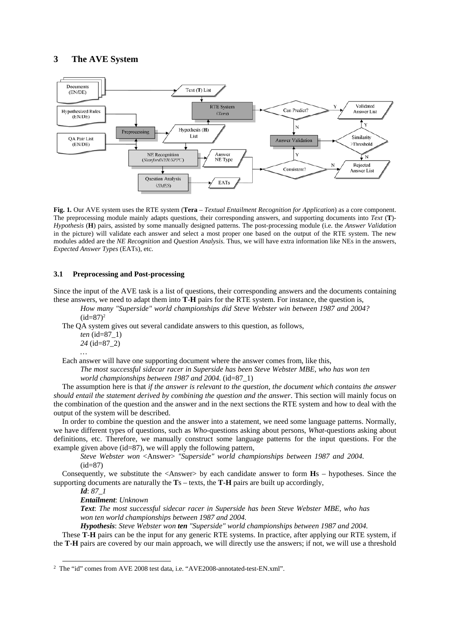## **3 The AVE System**



**Fig. 1.** Our AVE system uses the RTE system (**Tera** – *Textual Entailment Recognition for Application*) as a core component. The preprocessing module mainly adapts questions, their corresponding answers, and supporting documents into *Text* (**T**)- *Hypothesis* (**H**) pairs, assisted by some manually designed patterns. The post-processing module (i.e. the *Answer Validation*  in the picture) will validate each answer and select a most proper one based on the output of the RTE system. The new modules added are the *NE Recognition* and *Question Analysis*. Thus, we will have extra information like NEs in the answers, *Expected Answer Types* (EATs), etc.

#### **3.1 Preprocessing and Post-processing**

Since the input of the AVE task is a list of questions, their corresponding answers and the documents containing these answers, we need to adapt them into **T**-**H** pairs for the RTE system. For instance, the question is,

*How many "Superside" world championships did Steve Webster win between 1987 and 2004?*   $(id=87)<sup>2</sup>$ 

The QA system gives out several candidate answers to this question, as follows, *ten* (id=87\_1)

*24* (id=87\_2)

*…*

Each answer will have one supporting document where the answer comes from, like this,

*The most successful sidecar racer in Superside has been Steve Webster MBE, who has won ten world championships between 1987 and 2004.* (id=87\_1)

The assumption here is that *if the answer is relevant to the question, the document which contains the answer should entail the statement derived by combining the question and the answer*. This section will mainly focus on the combination of the question and the answer and in the next sections the RTE system and how to deal with the output of the system will be described.

In order to combine the question and the answer into a statement, we need some language patterns. Normally, we have different types of questions, such as *Who*-questions asking about persons, *What*-questions asking about definitions, etc. Therefore, we manually construct some language patterns for the input questions. For the example given above (id=87), we will apply the following pattern,

*Steve Webster won* <Answer> *"Superside" world championships between 1987 and 2004.*   $(id=87)$ 

Consequently, we substitute the <Answer> by each candidate answer to form **H**s – hypotheses. Since the supporting documents are naturally the **T**s – texts, the **T**-**H** pairs are built up accordingly,

*Id*: *87\_1* 

*Entailment*: *Unknown*

*Text*: *The most successful sidecar racer in Superside has been Steve Webster MBE, who has won ten world championships between 1987 and 2004.*

*Hypothesis*: *Steve Webster won ten "Superside" world championships between 1987 and 2004.*

These **T**-**H** pairs can be the input for any generic RTE systems. In practice, after applying our RTE system, if the **T**-**H** pairs are covered by our main approach, we will directly use the answers; if not, we will use a threshold

 <sup>2</sup> The "id" comes from AVE 2008 test data, i.e. "AVE2008-annotated-test-EN.xml".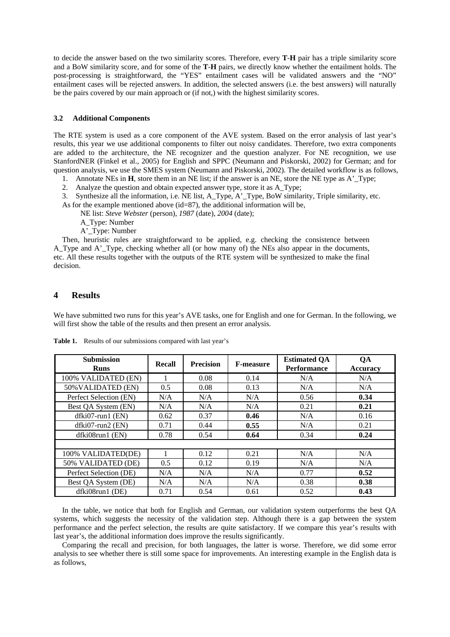to decide the answer based on the two similarity scores. Therefore, every **T**-**H** pair has a triple similarity score and a BoW similarity score, and for some of the **T**-**H** pairs, we directly know whether the entailment holds. The post-processing is straightforward, the "YES" entailment cases will be validated answers and the "NO" entailment cases will be rejected answers. In addition, the selected answers (i.e. the best answers) will naturally be the pairs covered by our main approach or (if not,) with the highest similarity scores.

#### **3.2 Additional Components**

The RTE system is used as a core component of the AVE system. Based on the error analysis of last year's results, this year we use additional components to filter out noisy candidates. Therefore, two extra components are added to the architecture, the NE recognizer and the question analyzer. For NE recognition, we use StanfordNER (Finkel et al., 2005) for English and SPPC (Neumann and Piskorski, 2002) for German; and for question analysis, we use the SMES system (Neumann and Piskorski, 2002). The detailed workflow is as follows,

- 1. Annotate NEs in **H**, store them in an NE list; if the answer is an NE, store the NE type as A' Type;
- 2. Analyze the question and obtain expected answer type, store it as A\_Type;

3. Synthesize all the information, i.e. NE list, A\_Type, A'\_Type, BoW similarity, Triple similarity, etc.

As for the example mentioned above (id=87), the additional information will be,

- NE list: *Steve Webster* (person), *1987* (date), *2004* (date);
- A\_Type: Number
- A'\_Type: Number

Then, heuristic rules are straightforward to be applied, e.g. checking the consistence between A\_Type and A'\_Type, checking whether all (or how many of) the NEs also appear in the documents, etc. All these results together with the outputs of the RTE system will be synthesized to make the final decision.

## **4 Results**

We have submitted two runs for this year's AVE tasks, one for English and one for German. In the following, we will first show the table of the results and then present an error analysis.

| <b>Submission</b><br><b>Runs</b> | Recall | <b>Precision</b> | <b>F-measure</b> | <b>Estimated QA</b><br><b>Performance</b> | QA<br><b>Accuracy</b> |
|----------------------------------|--------|------------------|------------------|-------------------------------------------|-----------------------|
| 100% VALIDATED (EN)              |        | 0.08             | 0.14             | N/A                                       | N/A                   |
| 50% VALIDATED (EN)               | 0.5    | 0.08             | 0.13             | N/A                                       | N/A                   |
| Perfect Selection (EN)           | N/A    | N/A              | N/A              | 0.56                                      | 0.34                  |
| Best QA System (EN)              | N/A    | N/A              | N/A              | 0.21                                      | 0.21                  |
| $dfki07$ -run $1$ (EN)           | 0.62   | 0.37             | 0.46             | N/A                                       | 0.16                  |
| dfki07-run2 (EN)                 | 0.71   | 0.44             | 0.55             | N/A                                       | 0.21                  |
| $dfki08run1$ (EN)                | 0.78   | 0.54             | 0.64             | 0.34                                      | 0.24                  |
|                                  |        |                  |                  |                                           |                       |
| 100% VALIDATED(DE)               |        | 0.12             | 0.21             | N/A                                       | N/A                   |
| 50% VALIDATED (DE)               | 0.5    | 0.12             | 0.19             | N/A                                       | N/A                   |
| Perfect Selection (DE)           | N/A    | N/A              | N/A              | 0.77                                      | 0.52                  |
| Best QA System (DE)              | N/A    | N/A              | N/A              | 0.38                                      | 0.38                  |
| dfki08run1 (DE)                  | 0.71   | 0.54             | 0.61             | 0.52                                      | 0.43                  |

**Table 1.** Results of our submissions compared with last year's

In the table, we notice that both for English and German, our validation system outperforms the best QA systems, which suggests the necessity of the validation step. Although there is a gap between the system performance and the perfect selection, the results are quite satisfactory. If we compare this year's results with last year's, the additional information does improve the results significantly.

Comparing the recall and precision, for both languages, the latter is worse. Therefore, we did some error analysis to see whether there is still some space for improvements. An interesting example in the English data is as follows,